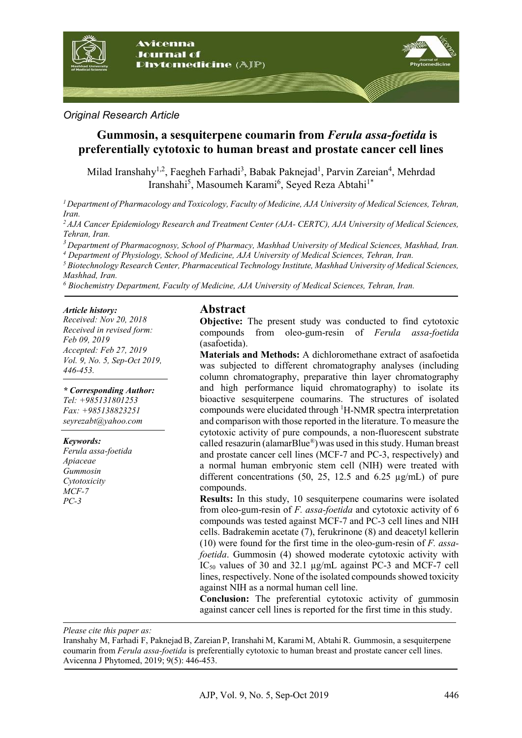

#### *Original Research Article*

# **Gummosin, a sesquiterpene coumarin from** *Ferula assa-foetida* **is preferentially cytotoxic to human breast and prostate cancer cell lines**

Milad Iranshahy<sup>1,2</sup>, Faegheh Farhadi<sup>3</sup>, Babak Paknejad<sup>1</sup>, Parvin Zareian<sup>4</sup>, Mehrdad Iranshahi<sup>5</sup>, Masoumeh Karami<sup>6</sup>, Seyed Reza Abtahi<sup>1\*</sup>

*1Department of Pharmacology and Toxicology, Faculty of Medicine, AJA University of Medical Sciences, Tehran, Iran.*

*2AJA Cancer Epidemiology Research and Treatment Center (AJA- CERTC), AJA University of Medical Sciences, Tehran, Iran.*

*<sup>3</sup> Department of Pharmacognosy, School of Pharmacy, Mashhad University of Medical Sciences, Mashhad, Iran. <sup>4</sup> Department of Physiology, School of Medicine, AJA University of Medical Sciences, Tehran, Iran.*

*<sup>5</sup> Biotechnology Research Center, Pharmaceutical Technology Institute, Mashhad University of Medical Sciences, Mashhad, Iran.*

*<sup>6</sup> Biochemistry Department, Faculty of Medicine, AJA University of Medical Sciences, Tehran, Iran.*

#### *Article history:*

*Received: Nov 20, 2018 Received in revised form: Feb 09, 2019 Accepted: Feb 27, 2019 Vol. 9, No. 5, Sep-Oct 2019, 446-453.*

*\* Corresponding Author: Tel: +985131801253 Fax: +985138823251 seyrezabt@yahoo.com*

#### *Keywords:*

*Ferula assa-foetida Apiaceae Gummosin Cytotoxicity MCF-7 PC-3*

#### **Abstract**

**Objective:** The present study was conducted to find cytotoxic compounds from oleo-gum-resin of *Ferula assa-foetida* (asafoetida).

**Materials and Methods:** A dichloromethane extract of asafoetida was subjected to different chromatography analyses (including column chromatography, preparative thin layer chromatography and high performance liquid chromatography) to isolate its bioactive sesquiterpene coumarins. The structures of isolated compounds were elucidated through <sup>1</sup> H-NMR spectra interpretation and comparison with those reported in the literature. To measure the cytotoxic activity of pure compounds, a non-fluorescent substrate called resazurin (alamarBlue®)was used in this study. Human breast and prostate cancer cell lines (MCF-7 and PC-3, respectively) and a normal human embryonic stem cell (NIH) were treated with different concentrations (50, 25, 12.5 and 6.25 µg/mL) of pure compounds.

**Results:** In this study, 10 sesquiterpene coumarins were isolated from oleo-gum-resin of *F. assa-foetida* and cytotoxic activity of 6 compounds was tested against MCF-7 and PC-3 cell lines and NIH cells. Badrakemin acetate (7), ferukrinone (8) and deacetyl kellerin (10) were found for the first time in the oleo-gum-resin of *F. assafoetida*. Gummosin (4) showed moderate cytotoxic activity with  $IC_{50}$  values of 30 and 32.1  $\mu$ g/mL against PC-3 and MCF-7 cell lines, respectively. None of the isolated compounds showed toxicity against NIH as a normal human cell line.

**Conclusion:** The preferential cytotoxic activity of gummosin against cancer cell lines is reported for the first time in this study.

*Please cite this paper as:* 

Iranshahy M, Farhadi F, PaknejadB, Zareian P, Iranshahi M, Karami M, Abtahi R. Gummosin, a sesquiterpene coumarin from *Ferula assa-foetida* is preferentially cytotoxic to human breast and prostate cancer cell lines. Avicenna J Phytomed, 2019; 9(5): 446-453.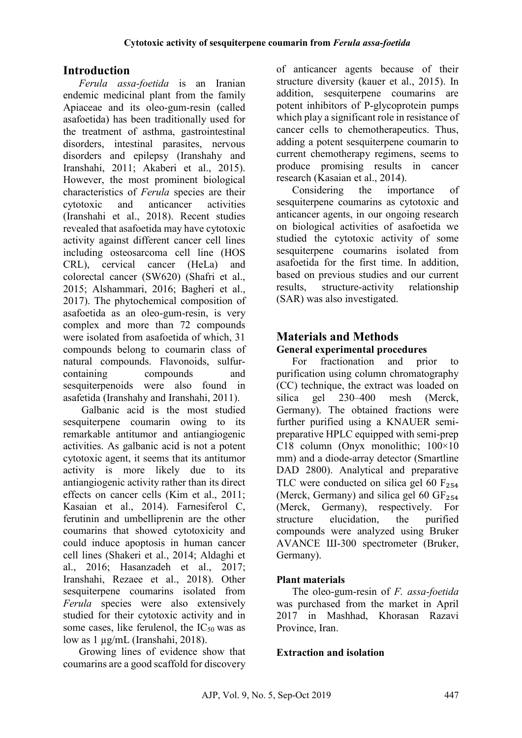# **Introduction**

*Ferula assa-foetida* is an Iranian endemic medicinal plant from the family Apiaceae and its oleo-gum-resin (called asafoetida) has been traditionally used for the treatment of asthma, gastrointestinal disorders, intestinal parasites, nervous disorders and epilepsy (Iranshahy and Iranshahi, 2011; Akaberi et al., 2015). However, the most prominent biological characteristics of *Ferula* species are their cytotoxic and anticancer activities (Iranshahi et al., 2018). Recent studies revealed that asafoetida may have cytotoxic activity against different cancer cell lines including osteosarcoma cell line (HOS CRL), cervical cancer (HeLa) and colorectal cancer (SW620) (Shafri et al., 2015; Alshammari, 2016; Bagheri et al., 2017). The phytochemical composition of asafoetida as an oleo-gum-resin, is very complex and more than 72 compounds were isolated from asafoetida of which, 31 compounds belong to coumarin class of natural compounds. Flavonoids, sulfurcontaining compounds and sesquiterpenoids were also found in asafetida (Iranshahy and Iranshahi, 2011).

Galbanic acid is the most studied sesquiterpene coumarin owing to its remarkable antitumor and antiangiogenic activities. As galbanic acid is not a potent cytotoxic agent, it seems that its antitumor activity is more likely due to its antiangiogenic activity rather than its direct effects on cancer cells (Kim et al., 2011; Kasaian et al., 2014). Farnesiferol C, ferutinin and umbelliprenin are the other coumarins that showed cytotoxicity and could induce apoptosis in human cancer cell lines (Shakeri et al., 2014; Aldaghi et al., 2016; Hasanzadeh et al., 2017; Iranshahi, Rezaee et al., 2018). Other sesquiterpene coumarins isolated from *Ferula* species were also extensively studied for their cytotoxic activity and in some cases, like ferulenol, the  $IC_{50}$  was as low as 1 µg/mL (Iranshahi, 2018).

Growing lines of evidence show that coumarins are a good scaffold for discovery

of anticancer agents because of their structure diversity (kauer et al., 2015). In addition, sesquiterpene coumarins are potent inhibitors of P-glycoprotein pumps which play a significant role in resistance of cancer cells to chemotherapeutics. Thus, adding a potent sesquiterpene coumarin to current chemotherapy regimens, seems to produce promising results in cancer research (Kasaian et al., 2014).

Considering the importance of sesquiterpene coumarins as cytotoxic and anticancer agents, in our ongoing research on biological activities of asafoetida we studied the cytotoxic activity of some sesquiterpene coumarins isolated from asafoetida for the first time. In addition, based on previous studies and our current results, structure-activity relationship (SAR) was also investigated.

## **Materials and Methods General experimental procedures**

For fractionation and prior to purification using column chromatography (CC) technique, the extract was loaded on silica gel 230–400 mesh (Merck, Germany). The obtained fractions were further purified using a KNAUER semipreparative HPLC equipped with semi-prep C18 column (Onyx monolithic; 100×10 mm) and a diode-array detector (Smartline DAD 2800). Analytical and preparative TLC were conducted on silica gel 60  $F_{254}$ (Merck, Germany) and silica gel 60  $GF<sub>254</sub>$ <br>(Merck, Germany), respectively. For (Germany), respectively. structure elucidation, the purified compounds were analyzed using Bruker AVANCE Ш-300 spectrometer (Bruker, Germany).

## **Plant materials**

The oleo-gum-resin of *F. assa-foetida* was purchased from the market in April 2017 in Mashhad, Khorasan Razavi Province, Iran.

## **Extraction and isolation**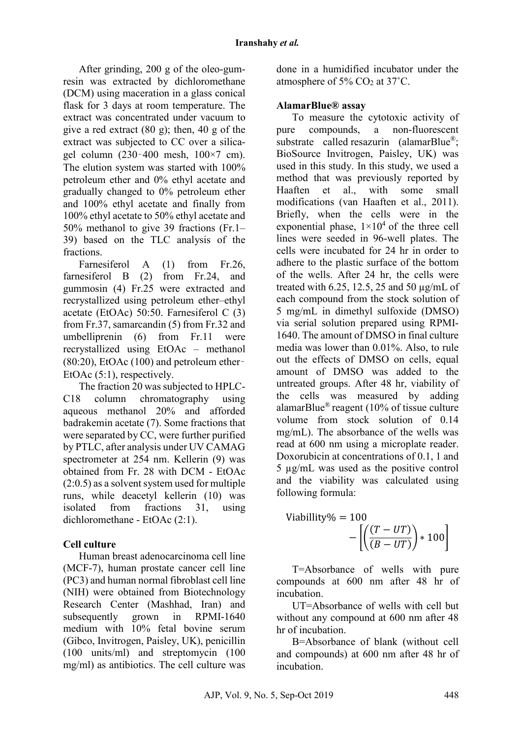After grinding, 200 g of the oleo-gumresin was extracted by dichloromethane (DCM) using maceration in a glass conical flask for 3 days at room temperature. The extract was concentrated under vacuum to give a red extract  $(80 \text{ g})$ ; then,  $40 \text{ g}$  of the extract was subjected to CC over a silicagel column  $(230-400 \text{ mesh}, 100\times7 \text{ cm})$ . The elution system was started with 100% petroleum ether and 0% ethyl acetate and gradually changed to 0% petroleum ether and 100% ethyl acetate and finally from 100% ethyl acetate to 50% ethyl acetate and 50% methanol to give 39 fractions (Fr.1– 39) based on the TLC analysis of the fractions.

Farnesiferol A (1) from Fr.26, farnesiferol B (2) from Fr.24, and gummosin (4) Fr.25 were extracted and recrystallized using petroleum ether–ethyl acetate (EtOAc) 50:50. Farnesiferol C (3) from Fr.37, samarcandin (5) from Fr.32 and umbelliprenin (6) from Fr.11 were recrystallized using EtOAc – methanol (80:20), EtOAc (100) and petroleum ether– EtOAc (5:1), respectively.

The fraction 20 was subjected to HPLC-C18 column chromatography using aqueous methanol 20% and afforded badrakemin acetate (7). Some fractions that were separated by CC, were further purified by PTLC, after analysis under UV CAMAG spectrometer at 254 nm. Kellerin (9) was obtained from Fr. 28 with DCM - EtOAc (2:0.5) as a solvent system used for multiple runs, while deacetyl kellerin (10) was isolated from fractions 31, using dichloromethane - EtOAc (2:1).

## **Cell culture**

Human breast adenocarcinoma cell line (MCF-7), human prostate cancer cell line (PC3) and human normal fibroblast cell line (NIH) were obtained from Biotechnology Research Center (Mashhad, Iran) and subsequently grown in RPMI-1640 medium with 10% fetal bovine serum (Gibco, Invitrogen, Paisley, UK), penicillin (100 units/ml) and streptomycin (100 mg/ml) as antibiotics. The cell culture was done in a humidified incubator under the atmosphere of  $5\%$  CO<sub>2</sub> at  $37^{\circ}$ C.

## **AlamarBlue® assay**

To measure the cytotoxic activity of pure compounds, a non-fluorescent substrate called resazurin (alamarBlue<sup>®</sup>; BioSource Invitrogen, Paisley, UK) was used in this study. In this study, we used a method that was previously reported by Haaften et al., with some small modifications (van Haaften et al., 2011). Briefly, when the cells were in the exponential phase,  $1\times10^4$  of the three cell lines were seeded in 96-well plates. The cells were incubated for 24 hr in order to adhere to the plastic surface of the bottom of the wells. After 24 hr, the cells were treated with 6.25, 12.5, 25 and 50  $\mu$ g/mL of each compound from the stock solution of 5 mg/mL in dimethyl sulfoxide (DMSO) via serial solution prepared using RPMI-1640. The amount of DMSO in final culture media was lower than 0.01%. Also, to rule out the effects of DMSO on cells, equal amount of DMSO was added to the untreated groups. After 48 hr, viability of the cells was measured by adding alamarBlue® reagent (10% of tissue culture volume from stock solution of 0.14 mg/mL). The absorbance of the wells was read at 600 nm using a microplate reader. Doxorubicin at concentrations of 0.1, 1 and 5 µg/mL was used as the positive control and the viability was calculated using following formula:

$$
Viability\% = 100
$$

$$
-\left[\left(\frac{(T - UT)}{(B - UT)}\right) * 100\right]
$$

T=Absorbance of wells with pure compounds at 600 nm after 48 hr of incubation.

UT=Absorbance of wells with cell but without any compound at 600 nm after 48 hr of incubation.

B=Absorbance of blank (without cell and compounds) at 600 nm after 48 hr of incubation.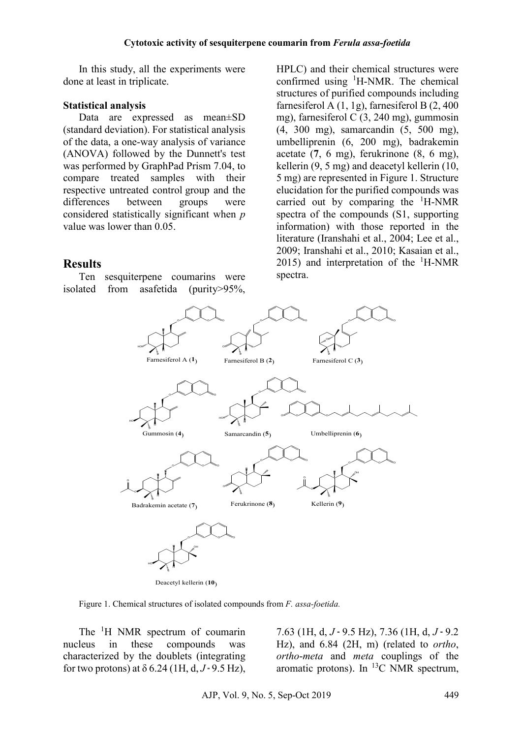In this study, all the experiments were done at least in triplicate.

#### **Statistical analysis**

Data are expressed as mean±SD (standard deviation). For statistical analysis of the data, a one-way analysis of variance (ANOVA) followed by the Dunnett's test was performed by GraphPad Prism 7.04, to compare treated samples with their respective untreated control group and the differences between groups were considered statistically significant when *p* value was lower than 0.05.

#### **Results**

Ten sesquiterpene coumarins were isolated from asafetida (purity>95%,

HPLC) and their chemical structures were confirmed using <sup>1</sup>H-NMR. The chemical structures of purified compounds including farnesiferol A (1, 1g), farnesiferol B (2, 400 mg), farnesiferol C (3, 240 mg), gummosin (4, 300 mg), samarcandin (5, 500 mg), umbelliprenin (6, 200 mg), badrakemin acetate (**7**, 6 mg), ferukrinone (8, 6 mg), kellerin (9, 5 mg) and deacetyl kellerin (10, 5 mg) are represented in Figure 1. Structure elucidation for the purified compounds was carried out by comparing the <sup>1</sup> H-NMR spectra of the compounds (S1, supporting information) with those reported in the literature (Iranshahi et al., 2004; Lee et al., 2009; Iranshahi et al., 2010; Kasaian et al., 2015) and interpretation of the  ${}^{1}$ H-NMR spectra.



Deacetyl kellerin (**10**)

Figure 1. Chemical structures of isolated compounds from *F. assa-foetida.*

The <sup>1</sup>H NMR spectrum of coumarin nucleus in these compounds was characterized by the doublets (integrating for two protons) at  $\delta$  6.24 (1H, d, J = 9.5 Hz).

 $7.63$  (1H, d,  $J = 9.5$  Hz),  $7.36$  (1H, d,  $J = 9.2$ ) Hz), and 6.84 (2H, m) (related to *ortho*, *ortho*-*meta* and *meta* couplings of the aromatic protons). In  ${}^{13}C$  NMR spectrum,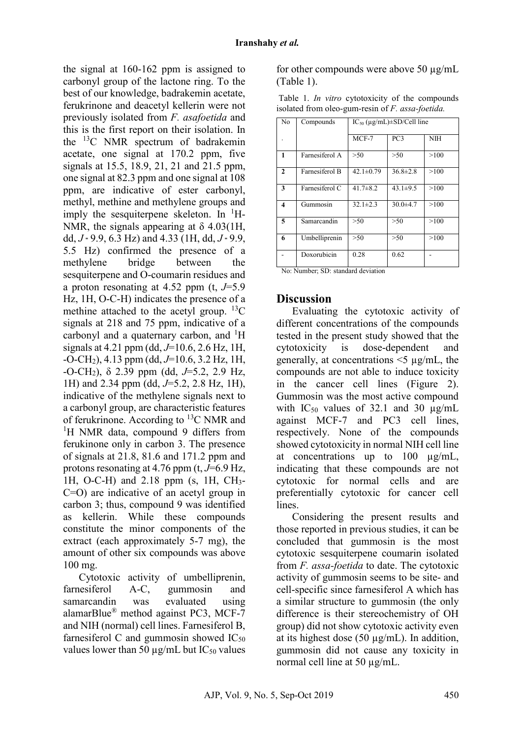the signal at 160-162 ppm is assigned to carbonyl group of the lactone ring. To the best of our knowledge, badrakemin acetate, ferukrinone and deacetyl kellerin were not previously isolated from *F. asafoetida* and this is the first report on their isolation. In the 13C NMR spectrum of badrakemin acetate, one signal at 170.2 ppm, five signals at 15.5, 18.9, 21, 21 and 21.5 ppm, one signal at 82.3 ppm and one signal at 108 ppm, are indicative of ester carbonyl, methyl, methine and methylene groups and imply the sesquiterpene skeleton. In  ${}^{1}$ H-NMR, the signals appearing at  $\delta$  4.03(1H, dd,  $J = 9.9$ , 6.3 Hz) and 4.33 (1H, dd,  $J = 9.9$ , 5.5 Hz) confirmed the presence of a methylene bridge between the sesquiterpene and O-coumarin residues and a proton resonating at 4.52 ppm (t, *J*=5.9 Hz, 1H, O-C-H) indicates the presence of a methine attached to the acetyl group.  ${}^{13}C$ signals at 218 and 75 ppm, indicative of a carbonyl and a quaternary carbon, and <sup>1</sup>H signals at 4.21 ppm (dd, *J*=10.6, 2.6 Hz, 1H, -O-CH2), 4.13 ppm (dd, *J*=10.6, 3.2 Hz, 1H, -O-CH2), δ 2.39 ppm (dd, *J*=5.2, 2.9 Hz, 1H) and 2.34 ppm (dd, *J*=5.2, 2.8 Hz, 1H), indicative of the methylene signals next to a carbonyl group, are characteristic features of ferukrinone. According to 13C NMR and <sup>1</sup>H NMR data, compound 9 differs from ferukinone only in carbon 3. The presence of signals at 21.8, 81.6 and 171.2 ppm and protons resonating at 4.76 ppm (t, *J*=6.9 Hz, 1H, O-C-H) and 2.18 ppm (s, 1H, CH3- C=O) are indicative of an acetyl group in carbon 3; thus, compound 9 was identified as kellerin. While these compounds constitute the minor components of the extract (each approximately 5-7 mg), the amount of other six compounds was above 100 mg.

Cytotoxic activity of umbelliprenin, farnesiferol A-C, gummosin and samarcandin was evaluated using alamarBlue® method against PC3, MCF-7 and NIH (normal) cell lines. Farnesiferol B, farnesiferol C and gummosin showed  $IC_{50}$ values lower than 50  $\mu$ g/mL but IC<sub>50</sub> values

for other compounds were above 50 µg/mL (Table 1).

|  |  |                                                  |  | Table 1. <i>In vitro</i> cytotoxicity of the compounds |
|--|--|--------------------------------------------------|--|--------------------------------------------------------|
|  |  | isolated from oleo-gum-resin of F. assa-foetida. |  |                                                        |

| N <sub>o</sub>          | Compounds                            | $IC_{50} (\mu g/mL) \pm SD/Cell$ line |                 |            |  |  |
|-------------------------|--------------------------------------|---------------------------------------|-----------------|------------|--|--|
|                         |                                      | $MCF-7$                               | PC <sub>3</sub> | <b>NIH</b> |  |  |
| $\mathbf{1}$            | Farnesiferol A                       | >50                                   | >50             | >100       |  |  |
| $\mathbf{2}$            | Farnesiferol B                       | $42.1 \pm 0.79$                       | $36.8 \pm 2.8$  | >100       |  |  |
| 3                       | Farnesiferol C                       | $41.7 \pm 8.2$                        | 43.1 $\pm$ 9.5  | >100       |  |  |
| $\overline{\mathbf{4}}$ | Gummosin                             | $32.1 \pm 2.3$                        | $30.0 + 4.7$    | >100       |  |  |
| $\overline{5}$          | Samarcandin                          | >50                                   | >50             | >100       |  |  |
| 6                       | Umbelliprenin                        | >50                                   | >50             | >100       |  |  |
|                         | Doxorubicin                          | 0.28                                  | 0.62            |            |  |  |
| $\sim$ $\sim$           | $\sim$ $\sim$<br>$\mathbf{v}$<br>. . | $\mathbf{1}$                          |                 |            |  |  |

No: Number; SD: standard deviation

## **Discussion**

Evaluating the cytotoxic activity of different concentrations of the compounds tested in the present study showed that the cytotoxicity is dose-dependent and generally, at concentrations  $\leq$   $\mu$ g/mL, the compounds are not able to induce toxicity in the cancer cell lines (Figure 2). Gummosin was the most active compound with  $IC_{50}$  values of 32.1 and 30  $\mu$ g/mL against MCF-7 and PC3 cell lines, respectively. None of the compounds showed cytotoxicity in normal NIH cell line at concentrations up to 100 µg/mL, indicating that these compounds are not cytotoxic for normal cells and are preferentially cytotoxic for cancer cell lines.

Considering the present results and those reported in previous studies, it can be concluded that gummosin is the most cytotoxic sesquiterpene coumarin isolated from *F. assa-foetida* to date. The cytotoxic activity of gummosin seems to be site- and cell-specific since farnesiferol A which has a similar structure to gummosin (the only difference is their stereochemistry of OH group) did not show cytotoxic activity even at its highest dose (50 µg/mL). In addition, gummosin did not cause any toxicity in normal cell line at 50  $\mu$ g/mL.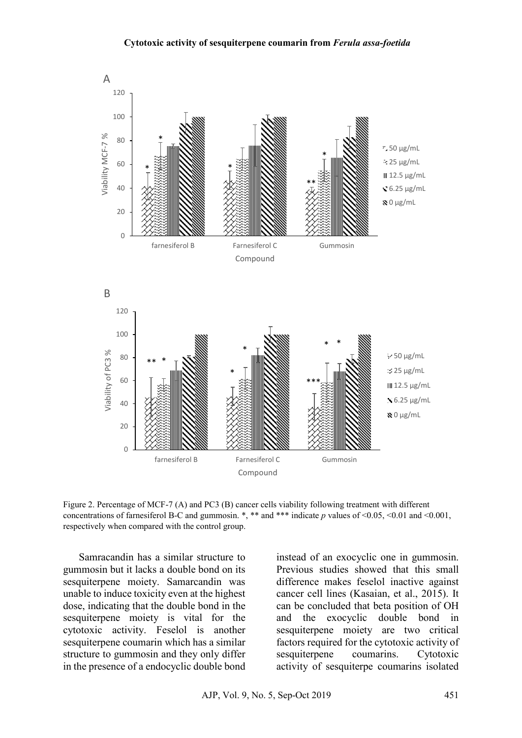#### **Cytotoxic activity of sesquiterpene coumarin from** *Ferula assa-foetida*



Figure 2. Percentage of MCF-7 (A) and PC3 (B) cancer cells viability following treatment with different concentrations of farnesiferol B-C and gummosin. \*, \*\* and \*\*\* indicate *p* values of <0.05, <0.01 and <0.001, respectively when compared with the control group.

Samracandin has a similar structure to gummosin but it lacks a double bond on its sesquiterpene moiety. Samarcandin was unable to induce toxicity even at the highest dose, indicating that the double bond in the sesquiterpene moiety is vital for the cytotoxic activity. Feselol is another sesquiterpene coumarin which has a similar structure to gummosin and they only differ in the presence of a endocyclic double bond

instead of an exocyclic one in gummosin. Previous studies showed that this small difference makes feselol inactive against cancer cell lines (Kasaian, et al., 2015). It can be concluded that beta position of OH and the exocyclic double bond in sesquiterpene moiety are two critical factors required for the cytotoxic activity of sesquiterpene coumarins. Cytotoxic activity of sesquiterpe coumarins isolated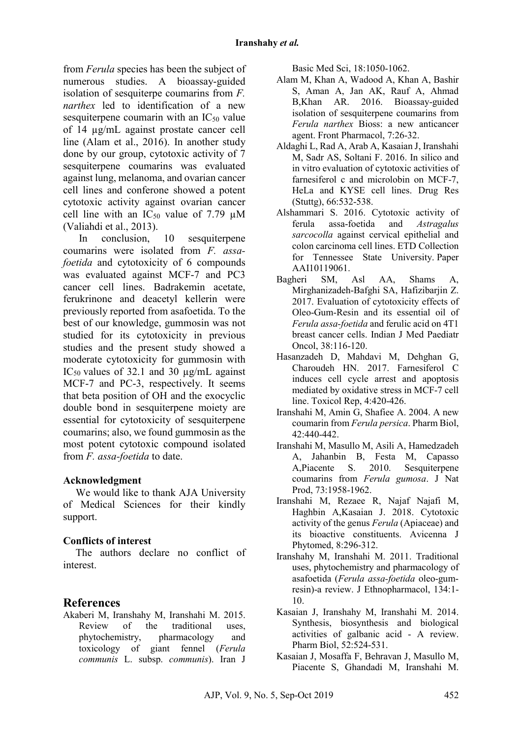from *Ferula* species has been the subject of numerous studies. A bioassay-guided isolation of sesquiterpe coumarins from *F. narthex* led to identification of a new sesquiterpene coumarin with an  $IC_{50}$  value of 14 µg/mL against prostate cancer cell line (Alam et al., 2016). In another study done by our group, cytotoxic activity of 7 sesquiterpene coumarins was evaluated against lung, melanoma, and ovarian cancer cell lines and conferone showed a potent cytotoxic activity against ovarian cancer cell line with an  $IC_{50}$  value of 7.79  $\mu$ M (Valiahdi et al., 2013).

In conclusion, 10 sesquiterpene coumarins were isolated from *F. assafoetida* and cytotoxicity of 6 compounds was evaluated against MCF-7 and PC3 cancer cell lines. Badrakemin acetate, ferukrinone and deacetyl kellerin were previously reported from asafoetida. To the best of our knowledge, gummosin was not studied for its cytotoxicity in previous studies and the present study showed a moderate cytotoxicity for gummosin with IC<sub>50</sub> values of 32.1 and 30  $\mu$ g/mL against MCF-7 and PC-3, respectively. It seems that beta position of OH and the exocyclic double bond in sesquiterpene moiety are essential for cytotoxicity of sesquiterpene coumarins; also, we found gummosin as the most potent cytotoxic compound isolated from *F. assa-foetida* to date.

#### **Acknowledgment**

We would like to thank AJA University of Medical Sciences for their kindly support.

## **Conflicts of interest**

The authors declare no conflict of interest.

## **References**

Akaberi M, Iranshahy M, Iranshahi M. 2015. Review of the traditional uses, phytochemistry, pharmacology and toxicology of giant fennel (*Ferula communis* L. subsp. *communis*). Iran J

Basic Med Sci, 18:1050-1062.

- Alam M, Khan A, Wadood A, Khan A, Bashir S, Aman A, Jan AK, Rauf A, Ahmad B,Khan AR. 2016. Bioassay-guided isolation of sesquiterpene coumarins from *Ferula narthex* Bioss: a new anticancer agent. Front Pharmacol, 7:26-32.
- Aldaghi L, Rad A, Arab A, Kasaian J, Iranshahi M, Sadr AS, Soltani F. 2016. In silico and in vitro evaluation of cytotoxic activities of farnesiferol c and microlobin on MCF-7. HeLa and KYSE cell lines. Drug Res (Stuttg), 66:532-538.
- Alshammari S. 2016. Cytotoxic activity of ferula assa-foetida and *Astragalus sarcocolla* against cervical epithelial and colon carcinoma cell lines. ETD Collection for Tennessee State University. Paper AAI10119061.
- Bagheri SM, Asl AA, Shams A, Mirghanizadeh-Bafghi SA, Hafizibarjin Z. 2017. Evaluation of cytotoxicity effects of Oleo-Gum-Resin and its essential oil of *Ferula assa-foetida* and ferulic acid on 4T1 breast cancer cells. Indian J Med Paediatr Oncol, 38:116-120.
- Hasanzadeh D, Mahdavi M, Dehghan G, Charoudeh HN. 2017. Farnesiferol C induces cell cycle arrest and apoptosis mediated by oxidative stress in MCF-7 cell line. Toxicol Rep, 4:420-426.
- Iranshahi M, Amin G, Shafiee A. 2004. A new coumarin from *Ferula persica*. Pharm Biol, 42:440-442.
- Iranshahi M, Masullo M, Asili A, Hamedzadeh A, Jahanbin B, Festa M, Capasso A,Piacente S. 2010. Sesquiterpene coumarins from *Ferula gumosa*. J Nat Prod, 73:1958-1962.
- Iranshahi M, Rezaee R, Najaf Najafi M, Haghbin A,Kasaian J. 2018. Cytotoxic activity of the genus *Ferula* (Apiaceae) and its bioactive constituents. Avicenna J Phytomed, 8:296-312.
- Iranshahy M, Iranshahi M. 2011. Traditional uses, phytochemistry and pharmacology of asafoetida (*Ferula assa-foetida* oleo-gumresin)-a review. J Ethnopharmacol, 134:1- 10.
- Kasaian J, Iranshahy M, Iranshahi M. 2014. Synthesis, biosynthesis and biological activities of galbanic acid - A review. Pharm Biol, 52:524-531.
- Kasaian J, Mosaffa F, Behravan J, Masullo M, Piacente S, Ghandadi M, Iranshahi M.